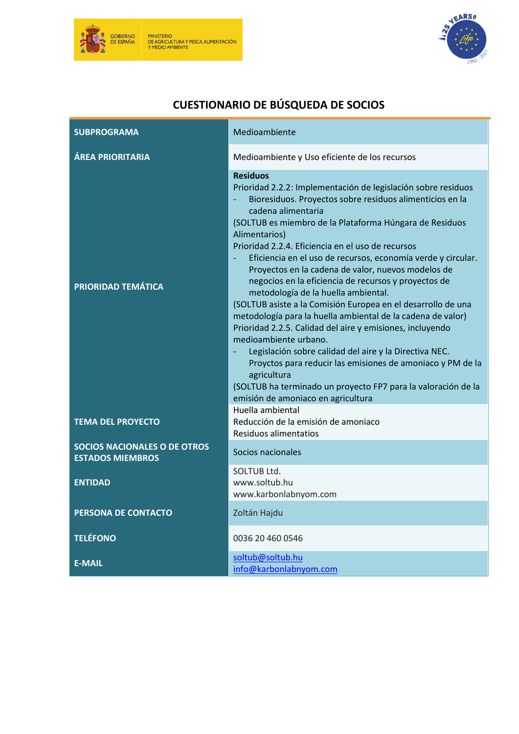



| <b>SUBPROGRAMA</b>                                             | Medioambiente                                                                                                                                                                                                                                                                                                                                                                                                                                                                                                                                                                                                                                                                                                                                                                                                                                                                                                                                                                                                   |
|----------------------------------------------------------------|-----------------------------------------------------------------------------------------------------------------------------------------------------------------------------------------------------------------------------------------------------------------------------------------------------------------------------------------------------------------------------------------------------------------------------------------------------------------------------------------------------------------------------------------------------------------------------------------------------------------------------------------------------------------------------------------------------------------------------------------------------------------------------------------------------------------------------------------------------------------------------------------------------------------------------------------------------------------------------------------------------------------|
| <b>ÁREA PRIORITARIA</b>                                        | Medioambiente y Uso eficiente de los recursos                                                                                                                                                                                                                                                                                                                                                                                                                                                                                                                                                                                                                                                                                                                                                                                                                                                                                                                                                                   |
| <b>PRIORIDAD TEMÁTICA</b>                                      | <b>Residuos</b><br>Prioridad 2.2.2: Implementación de legislación sobre residuos<br>Bioresiduos. Proyectos sobre residuos alimenticios en la<br>cadena alimentaria<br>(SOLTUB es miembro de la Plataforma Húngara de Residuos<br>Alimentarios)<br>Prioridad 2.2.4. Eficiencia en el uso de recursos<br>Eficiencia en el uso de recursos, economía verde y circular.<br>Proyectos en la cadena de valor, nuevos modelos de<br>negocios en la eficiencia de recursos y proyectos de<br>metodología de la huella ambiental.<br>(SOLTUB asiste a la Comisión Europea en el desarrollo de una<br>metodología para la huella ambiental de la cadena de valor)<br>Prioridad 2.2.5. Calidad del aire y emisiones, incluyendo<br>medioambiente urbano.<br>Legislación sobre calidad del aire y la Directiva NEC.<br>Proyctos para reducir las emisiones de amoniaco y PM de la<br>agricultura<br>(SOLTUB ha terminado un proyecto FP7 para la valoración de la<br>emisión de amoniaco en agricultura<br>Huella ambiental |
| <b>TEMA DEL PROYECTO</b>                                       | Reducción de la emisión de amoniaco<br>Residuos alimentatios                                                                                                                                                                                                                                                                                                                                                                                                                                                                                                                                                                                                                                                                                                                                                                                                                                                                                                                                                    |
| <b>SOCIOS NACIONALES O DE OTROS</b><br><b>ESTADOS MIEMBROS</b> | Socios nacionales                                                                                                                                                                                                                                                                                                                                                                                                                                                                                                                                                                                                                                                                                                                                                                                                                                                                                                                                                                                               |
| <b>ENTIDAD</b>                                                 | SOLTUB Ltd.<br>www.soltub.hu<br>www.karbonlabnyom.com                                                                                                                                                                                                                                                                                                                                                                                                                                                                                                                                                                                                                                                                                                                                                                                                                                                                                                                                                           |
| PERSONA DE CONTACTO                                            | Zoltán Hajdu                                                                                                                                                                                                                                                                                                                                                                                                                                                                                                                                                                                                                                                                                                                                                                                                                                                                                                                                                                                                    |
| <b>TELÉFONO</b>                                                | 0036 20 460 0546                                                                                                                                                                                                                                                                                                                                                                                                                                                                                                                                                                                                                                                                                                                                                                                                                                                                                                                                                                                                |
| <b>E-MAIL</b>                                                  | soltub@soltub.hu<br>info@karbonlabnyom.com                                                                                                                                                                                                                                                                                                                                                                                                                                                                                                                                                                                                                                                                                                                                                                                                                                                                                                                                                                      |

# **CUESTIONARIO DE BÚSQUEDA DE SOCIOS**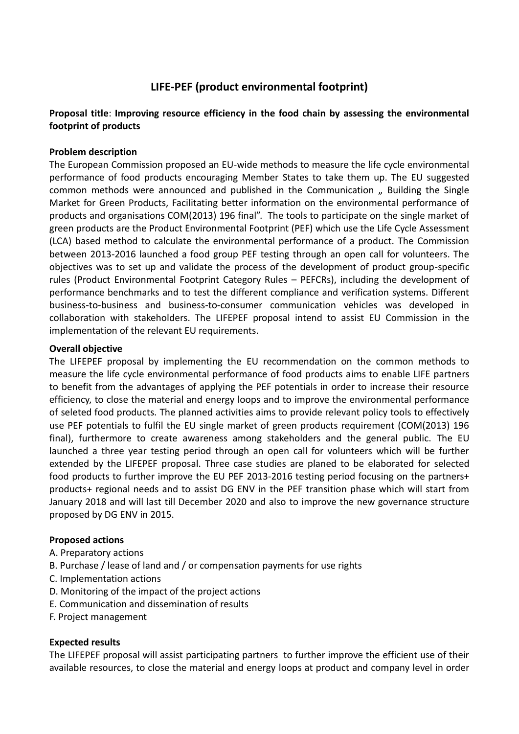# **LIFE-PEF (product environmental footprint)**

# **Proposal title**: **Improving resource efficiency in the food chain by assessing the environmental footprint of products**

## **Problem description**

The European Commission proposed an EU-wide methods to measure the life cycle environmental performance of food products encouraging Member States to take them up. The EU suggested common methods were announced and published in the Communication " Building the Single Market for Green Products, Facilitating better information on the environmental performance of products and organisations COM(2013) 196 final". The tools to participate on the single market of green products are the Product Environmental Footprint (PEF) which use the Life Cycle Assessment (LCA) based method to calculate the environmental performance of a product. The Commission between 2013-2016 launched a food group PEF testing through an open call for volunteers. The objectives was to set up and validate the process of the development of product group-specific rules (Product Environmental Footprint Category Rules – PEFCRs), including the development of performance benchmarks and to test the different compliance and verification systems. Different business-to-business and business-to-consumer communication vehicles was developed in collaboration with stakeholders. The LIFEPEF proposal intend to assist EU Commission in the implementation of the relevant EU requirements.

#### **Overall objective**

The LIFEPEF proposal by implementing the EU recommendation on the common methods to measure the life cycle environmental performance of food products aims to enable LIFE partners to benefit from the advantages of applying the PEF potentials in order to increase their resource efficiency, to close the material and energy loops and to improve the environmental performance of seleted food products. The planned activities aims to provide relevant policy tools to effectively use PEF potentials to fulfil the EU single market of green products requirement (COM(2013) 196 final), furthermore to create awareness among stakeholders and the general public. The EU launched a three year testing period through an open call for volunteers which will be further extended by the LIFEPEF proposal. Three case studies are planed to be elaborated for selected food products to further improve the EU PEF 2013-2016 testing period focusing on the partners+ products+ regional needs and to assist DG ENV in the PEF transition phase which will start from January 2018 and will last till December 2020 and also to improve the new governance structure proposed by DG ENV in 2015.

# **Proposed actions**

- A. Preparatory actions
- B. Purchase / lease of land and / or compensation payments for use rights
- C. Implementation actions
- D. Monitoring of the impact of the project actions
- E. Communication and dissemination of results
- F. Project management

# **Expected results**

The LIFEPEF proposal will assist participating partners to further improve the efficient use of their available resources, to close the material and energy loops at product and company level in order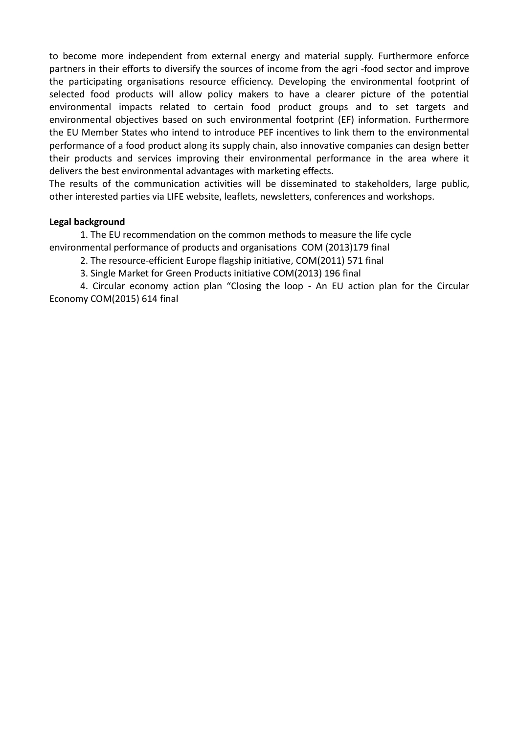to become more independent from external energy and material supply. Furthermore enforce partners in their efforts to diversify the sources of income from the agri -food sector and improve the participating organisations resource efficiency. Developing the environmental footprint of selected food products will allow policy makers to have a clearer picture of the potential environmental impacts related to certain food product groups and to set targets and environmental objectives based on such environmental footprint (EF) information. Furthermore the EU Member States who intend to introduce PEF incentives to link them to the environmental performance of a food product along its supply chain, also innovative companies can design better their products and services improving their environmental performance in the area where it delivers the best environmental advantages with marketing effects.

The results of the communication activities will be disseminated to stakeholders, large public, other interested parties via LIFE website, leaflets, newsletters, conferences and workshops.

## **Legal background**

1. The EU recommendation on the common methods to measure the life cycle environmental performance of products and organisations COM (2013)179 final

- 2. The resource-efficient Europe flagship initiative, COM(2011) 571 final
- 3. Single Market for Green Products initiative COM(2013) 196 final

4. Circular economy action plan "Closing the loop - An EU action plan for the Circular Economy COM(2015) 614 final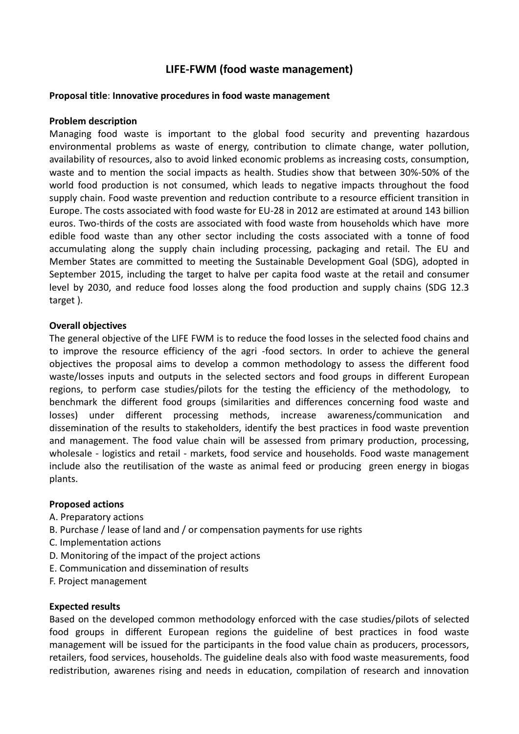# **LIFE-FWM (food waste management)**

#### **Proposal title**: **Innovative procedures in food waste management**

#### **Problem description**

Managing food waste is important to the global food security and preventing hazardous environmental problems as waste of energy, contribution to climate change, water pollution, availability of resources, also to avoid linked economic problems as increasing costs, consumption, waste and to mention the social impacts as health. Studies show that between 30%-50% of the world food production is not consumed, which leads to negative impacts throughout the food supply chain. Food waste prevention and reduction contribute to a resource efficient transition in Europe. The costs associated with food waste for EU-28 in 2012 are estimated at around 143 billion euros. Two-thirds of the costs are associated with food waste from households which have more edible food waste than any other sector including the costs associated with a tonne of food accumulating along the supply chain including processing, packaging and retail. The EU and Member States are committed to meeting the Sustainable Development Goal (SDG), adopted in September 2015, including the target to halve per capita food waste at the retail and consumer level by 2030, and reduce food losses along the food production and supply chains (SDG 12.3 target ).

#### **Overall objectives**

The general objective of the LIFE FWM is to reduce the food losses in the selected food chains and to improve the resource efficiency of the agri -food sectors. In order to achieve the general objectives the proposal aims to develop a common methodology to assess the different food waste/losses inputs and outputs in the selected sectors and food groups in different European regions, to perform case studies/pilots for the testing the efficiency of the methodology, to benchmark the different food groups (similarities and differences concerning food waste and losses) under different processing methods, increase awareness/communication and dissemination of the results to stakeholders, identify the best practices in food waste prevention and management. The food value chain will be assessed from primary production, processing, wholesale - logistics and retail - markets, food service and households. Food waste management include also the reutilisation of the waste as animal feed or producing green energy in biogas plants.

#### **Proposed actions**

- A. Preparatory actions
- B. Purchase / lease of land and / or compensation payments for use rights
- C. Implementation actions
- D. Monitoring of the impact of the project actions
- E. Communication and dissemination of results
- F. Project management

#### **Expected results**

Based on the developed common methodology enforced with the case studies/pilots of selected food groups in different European regions the guideline of best practices in food waste management will be issued for the participants in the food value chain as producers, processors, retailers, food services, households. The guideline deals also with food waste measurements, food redistribution, awarenes rising and needs in education, compilation of research and innovation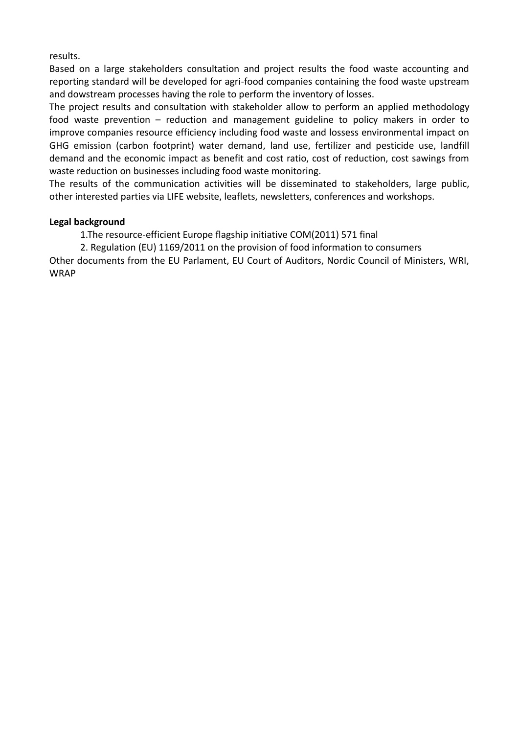results.

Based on a large stakeholders consultation and project results the food waste accounting and reporting standard will be developed for agri-food companies containing the food waste upstream and dowstream processes having the role to perform the inventory of losses.

The project results and consultation with stakeholder allow to perform an applied methodology food waste prevention – reduction and management guideline to policy makers in order to improve companies resource efficiency including food waste and lossess environmental impact on GHG emission (carbon footprint) water demand, land use, fertilizer and pesticide use, landfill demand and the economic impact as benefit and cost ratio, cost of reduction, cost sawings from waste reduction on businesses including food waste monitoring.

The results of the communication activities will be disseminated to stakeholders, large public, other interested parties via LIFE website, leaflets, newsletters, conferences and workshops.

## **Legal background**

1.The resource-efficient Europe flagship initiative COM(2011) 571 final

2. Regulation (EU) 1169/2011 on the provision of food information to consumers

Other documents from the EU Parlament, EU Court of Auditors, Nordic Council of Ministers, WRI, WRAP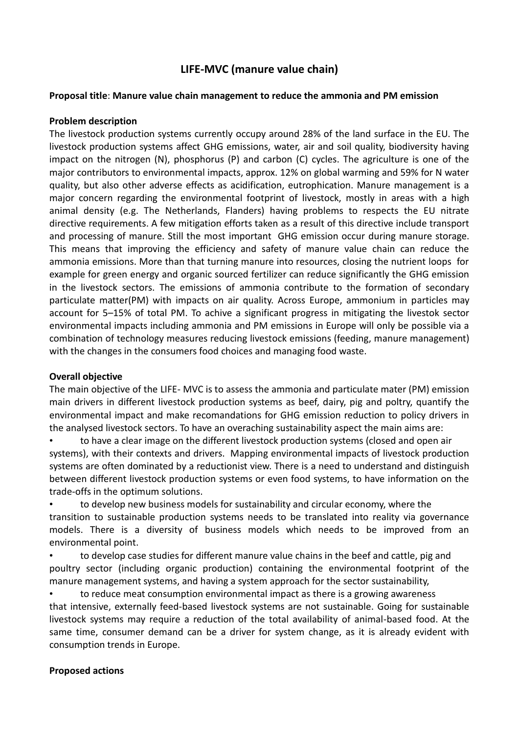# **LIFE-MVC (manure value chain)**

#### **Proposal title**: **Manure value chain management to reduce the ammonia and PM emission**

#### **Problem description**

The livestock production systems currently occupy around 28% of the land surface in the EU. The livestock production systems affect GHG emissions, water, air and soil quality, biodiversity having impact on the nitrogen (N), phosphorus (P) and carbon (C) cycles. The agriculture is one of the major contributors to environmental impacts, approx. 12% on global warming and 59% for N water quality, but also other adverse effects as acidification, eutrophication. Manure management is a major concern regarding the environmental footprint of livestock, mostly in areas with a high animal density (e.g. The Netherlands, Flanders) having problems to respects the EU nitrate directive requirements. A few mitigation efforts taken as a result of this directive include transport and processing of manure. Still the most important GHG emission occur during manure storage. This means that improving the efficiency and safety of manure value chain can reduce the ammonia emissions. More than that turning manure into resources, closing the nutrient loops for example for green energy and organic sourced fertilizer can reduce significantly the GHG emission in the livestock sectors. The emissions of ammonia contribute to the formation of secondary particulate matter(PM) with impacts on air quality. Across Europe, ammonium in particles may account for 5–15% of total PM. To achive a significant progress in mitigating the livestok sector environmental impacts including ammonia and PM emissions in Europe will only be possible via a combination of technology measures reducing livestock emissions (feeding, manure management) with the changes in the consumers food choices and managing food waste.

#### **Overall objective**

The main objective of the LIFE- MVC is to assess the ammonia and particulate mater (PM) emission main drivers in different livestock production systems as beef, dairy, pig and poltry, quantify the environmental impact and make recomandations for GHG emission reduction to policy drivers in the analysed livestock sectors. To have an overaching sustainability aspect the main aims are:

• to have a clear image on the different livestock production systems (closed and open air systems), with their contexts and drivers. Mapping environmental impacts of livestock production systems are often dominated by a reductionist view. There is a need to understand and distinguish between different livestock production systems or even food systems, to have information on the trade-offs in the optimum solutions.

• to develop new business models for sustainability and circular economy, where the transition to sustainable production systems needs to be translated into reality via governance models. There is a diversity of business models which needs to be improved from an environmental point.

• to develop case studies for different manure value chains in the beef and cattle, pig and poultry sector (including organic production) containing the environmental footprint of the manure management systems, and having a system approach for the sector sustainability,

• to reduce meat consumption environmental impact as there is a growing awareness that intensive, externally feed-based livestock systems are not sustainable. Going for sustainable livestock systems may require a reduction of the total availability of animal-based food. At the same time, consumer demand can be a driver for system change, as it is already evident with consumption trends in Europe.

# **Proposed actions**